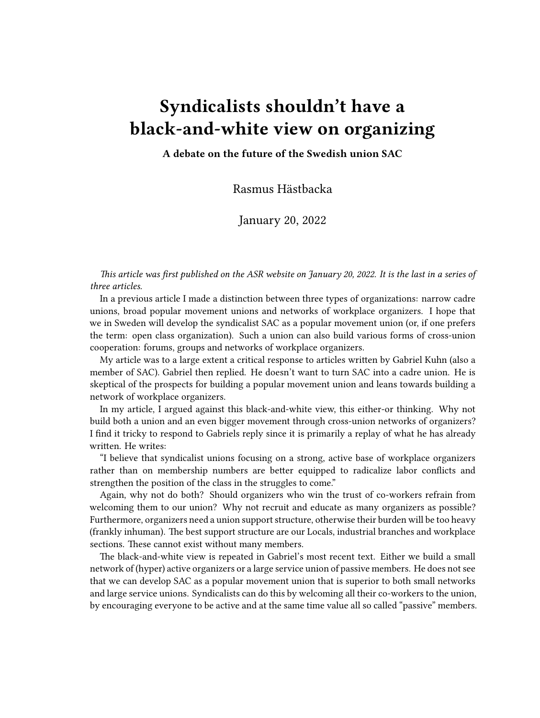## **Syndicalists shouldn't have a black-and-white view on organizing**

**A debate on the future of the Swedish union SAC**

Rasmus Hästbacka

January 20, 2022

*This article was first published on the [ASR website](https://syndicalist.us/2022/01/20/syndicalists-shouldnt-have-a-black-and-white-view-on-organizing/) on January 20, 2022. It is the last in a series of three articles.*

In a [previous article](https://syndicalist.us/2021/07/24/greetings-from-sweden-a-dual-track-syndicalism/) I made a distinction between three types of organizations: narrow cadre unions, broad popular movement unions and networks of workplace organizers. I hope that we in Sweden will develop the syndicalist SAC as a popular movement union (or, if one prefers the term: open class organization). Such a union can also build various forms of cross-union cooperation: forums, groups and networks of workplace organizers.

My article was to a large extent a critical response to articles written by Gabriel Kuhn (also a member of SAC). Gabriel then [replied](https://syndicalist.us/2021/08/21/keeping-up-with-the-times-more-on-syndicalist-strategy/). He doesn't want to turn SAC into a cadre union. He is skeptical of the prospects for building a popular movement union and leans towards building a network of workplace organizers.

In my article, I argued against this black-and-white view, this either-or thinking. Why not build both a union and an even bigger movement through cross-union networks of organizers? I find it tricky to respond to Gabriels reply since it is primarily a replay of what he has already written. He writes:

"I believe that syndicalist unions focusing on a strong, active base of workplace organizers rather than on membership numbers are better equipped to radicalize labor conflicts and strengthen the position of the class in the struggles to come."

Again, why not do both? Should organizers who win the trust of co-workers refrain from welcoming them to our union? Why not recruit and educate as many organizers as possible? Furthermore, organizers need a union support structure, otherwise their burden will be too heavy (frankly inhuman). The best support structure are our Locals, industrial branches and workplace sections. These cannot exist without many members.

The black-and-white view is repeated in Gabriel's most recent text. Either we build a small network of (hyper) active organizers or a large service union of passive members. He does not see that we can develop SAC as a popular movement union that is superior to both small networks and large service unions. Syndicalists can do this by welcoming all their co-workers to the union, by encouraging everyone to be active and at the same time value all so called "passive" members.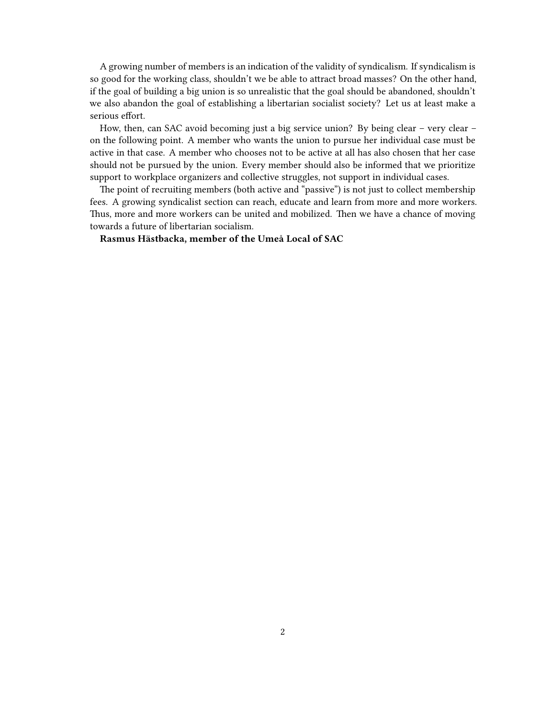A growing number of members is an indication of the validity of syndicalism. If syndicalism is so good for the working class, shouldn't we be able to attract broad masses? On the other hand, if the goal of building a big union is so unrealistic that the goal should be abandoned, shouldn't we also abandon the goal of establishing a libertarian socialist society? Let us at least make a serious effort.

How, then, can SAC avoid becoming just a big service union? By being clear – very clear – on the following point. A member who wants the union to pursue her individual case must be active in that case. A member who chooses not to be active at all has also chosen that her case should not be pursued by the union. Every member should also be informed that we prioritize support to workplace organizers and collective struggles, not support in individual cases.

The point of recruiting members (both active and "passive") is not just to collect membership fees. A growing syndicalist section can reach, educate and learn from more and more workers. Thus, more and more workers can be united and mobilized. Then we have a chance of moving towards a future of libertarian socialism.

**Rasmus Hästbacka, member of the Umeå Local of SAC**